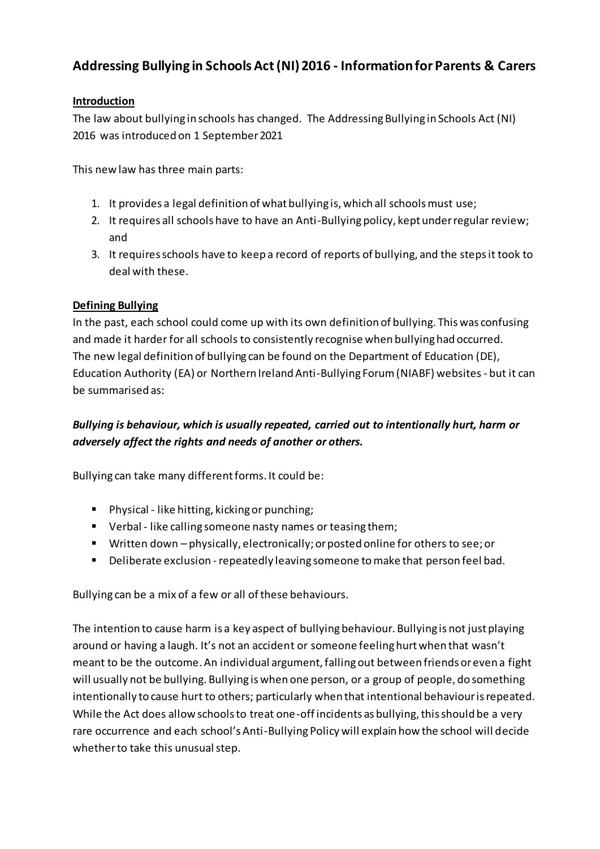# **Addressing Bullying in Schools Act (NI) 2016 - Information for Parents & Carers**

#### **Introduction**

The law about bullying in schools has changed. The Addressing Bullying in Schools Act (NI) 2016 was introduced on 1 September 2021

This new law has three main parts:

- 1. It provides a legal definition of what bullying is, which all schools must use;
- 2. It requires all schools have to have an Anti-Bullying policy, kept under regular review; and
- 3. It requires schools have to keep a record of reports of bullying, and the steps it took to deal with these.

#### **Defining Bullying**

In the past, each school could come up with its own definition of bullying. This was confusing and made it harder for all schools to consistently recognise when bullying had occurred. The new legal definition of bullying can be found on the Department of Education (DE), Education Authority (EA) or Northern Ireland Anti-Bullying Forum (NIABF) websites - but it can be summarised as:

# *Bullying is behaviour, which is usually repeated, carried out to intentionally hurt, harm or adversely affect the rights and needs of another or others.*

Bullying can take many different forms. It could be:

- **Physical like hitting, kicking or punching;**
- Verbal like calling someone nasty names or teasing them;
- Written down physically, electronically; or posted online for others to see; or
- **•** Deliberate exclusion repeatedly leaving someone to make that person feel bad.

Bullying can be a mix of a few or all of these behaviours.

The intention to cause harm is a key aspect of bullying behaviour. Bullying is not just playing around or having a laugh. It's not an accident or someone feeling hurt when that wasn't meant to be the outcome. An individual argument, falling out between friends or even a fight will usually not be bullying. Bullying is when one person, or a group of people, do something intentionally to cause hurt to others; particularly when that intentional behaviour is repeated. While the Act does allow schools to treat one-off incidents as bullying, this should be a very rare occurrence and each school's Anti-Bullying Policy will explain how the school will decide whether to take this unusual step.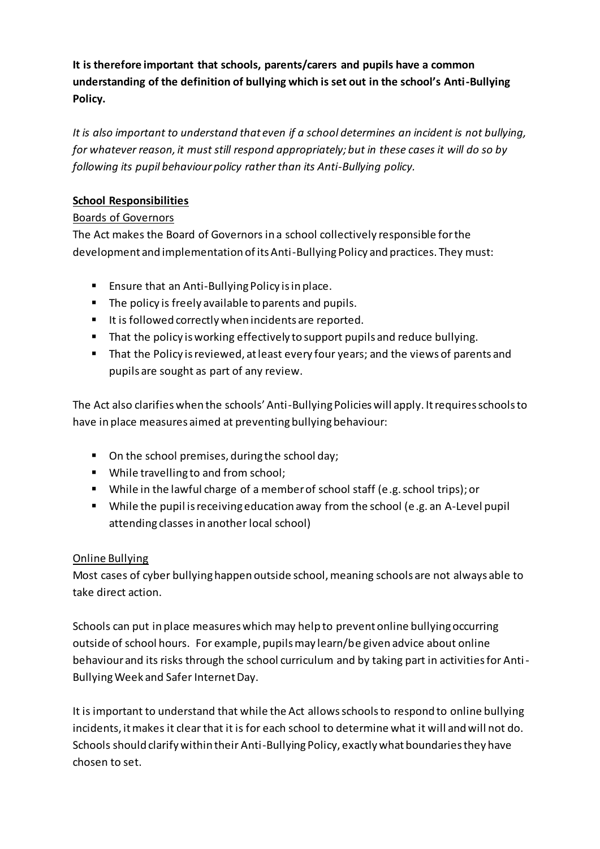**It is therefore important that schools, parents/carers and pupils have a common understanding of the definition of bullying which is set out in the school's Anti-Bullying Policy.**

*It is also important to understand that even if a school determines an incident is not bullying, for whatever reason, it must still respond appropriately; but in these cases it will do so by following its pupil behaviour policy rather than its Anti-Bullying policy.*

### **School Responsibilities**

### Boards of Governors

The Act makes the Board of Governors in a school collectively responsible for the development and implementation of its Anti-Bullying Policy and practices. They must:

- **Ensure that an Anti-Bullying Policy is in place.**
- The policy is freely available to parents and pupils.
- It is followed correctly when incidents are reported.
- That the policy is working effectively to support pupils and reduce bullying.
- That the Policy is reviewed, at least every four years; and the views of parents and pupils are sought as part of any review.

The Act also clarifies when the schools' Anti-Bullying Policies will apply. It requires schools to have in place measures aimed at preventing bullying behaviour:

- On the school premises, during the school day;
- While travelling to and from school;
- While in the lawful charge of a member of school staff (e.g. school trips); or
- While the pupil is receiving education away from the school (e.g. an A-Level pupil attending classes in another local school)

# Online Bullying

Most cases of cyber bullying happen outside school, meaning schools are not always able to take direct action.

Schools can put in place measures which may help to prevent online bullying occurring outside of school hours. For example, pupils may learn/be given advice about online behaviour and its risks through the school curriculum and by taking part in activities for Anti-Bullying Week and Safer Internet Day.

It is important to understand that while the Act allows schools to respond to online bullying incidents, it makes it clear that it is for each school to determine what it will and will not do. Schools should clarify within their Anti-Bullying Policy, exactly what boundaries they have chosen to set.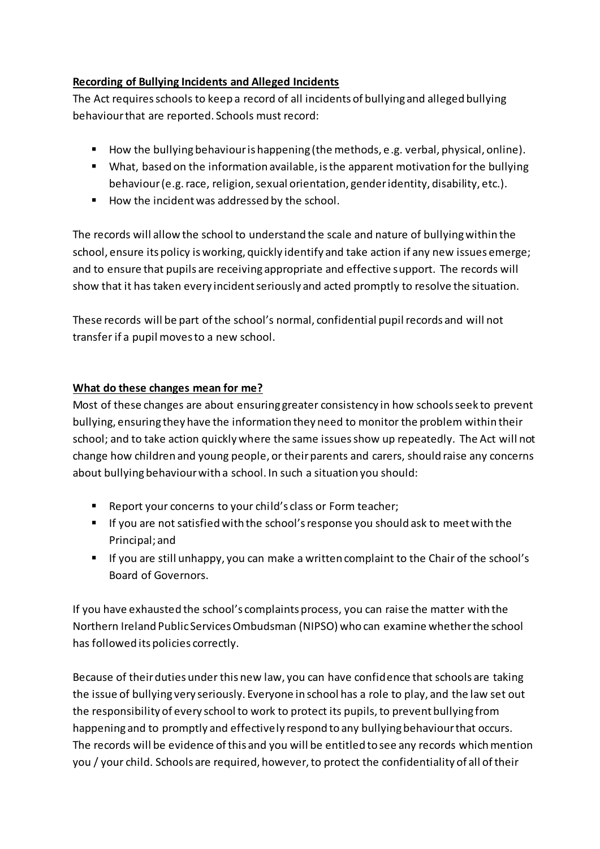### **Recording of Bullying Incidents and Alleged Incidents**

The Act requires schools to keep a record of all incidents of bullying and alleged bullying behaviour that are reported. Schools must record:

- How the bullying behaviour is happening (the methods, e.g. verbal, physical, online).
- What, based on the information available, is the apparent motivation for the bullying behaviour (e.g. race, religion, sexual orientation, gender identity, disability, etc.).
- How the incident was addressed by the school.

The records will allow the school to understand the scale and nature of bullying within the school, ensure its policy is working, quickly identify and take action if any new issues emerge; and to ensure that pupils are receiving appropriate and effective support. The records will show that it has taken every incident seriously and acted promptly to resolve the situation.

These records will be part of the school's normal, confidential pupil records and will not transfer if a pupil moves to a new school.

# **What do these changes mean for me?**

Most of these changes are about ensuring greater consistency in how schools seek to prevent bullying, ensuring they have the information they need to monitor the problem within their school; and to take action quickly where the same issues show up repeatedly. The Act will not change how children and young people, or their parents and carers, should raise any concerns about bullying behaviour with a school. In such a situation you should:

- Report your concerns to your child's class or Form teacher;
- If you are not satisfied with the school's response you should ask to meet with the Principal; and
- If you are still unhappy, you can make a written complaint to the Chair of the school's Board of Governors.

If you have exhausted the school's complaints process, you can raise the matter with the Northern Ireland Public Services Ombudsman (NIPSO) who can examine whether the school has followed its policies correctly.

Because of their duties under this new law, you can have confidence that schools are taking the issue of bullying very seriously. Everyone in school has a role to play, and the law set out the responsibility of every school to work to protect its pupils, to prevent bullying from happening and to promptly and effectively respond to any bullying behaviour that occurs. The records will be evidence of this and you will be entitled to see any records which mention you / your child. Schools are required, however, to protect the confidentiality of all of their